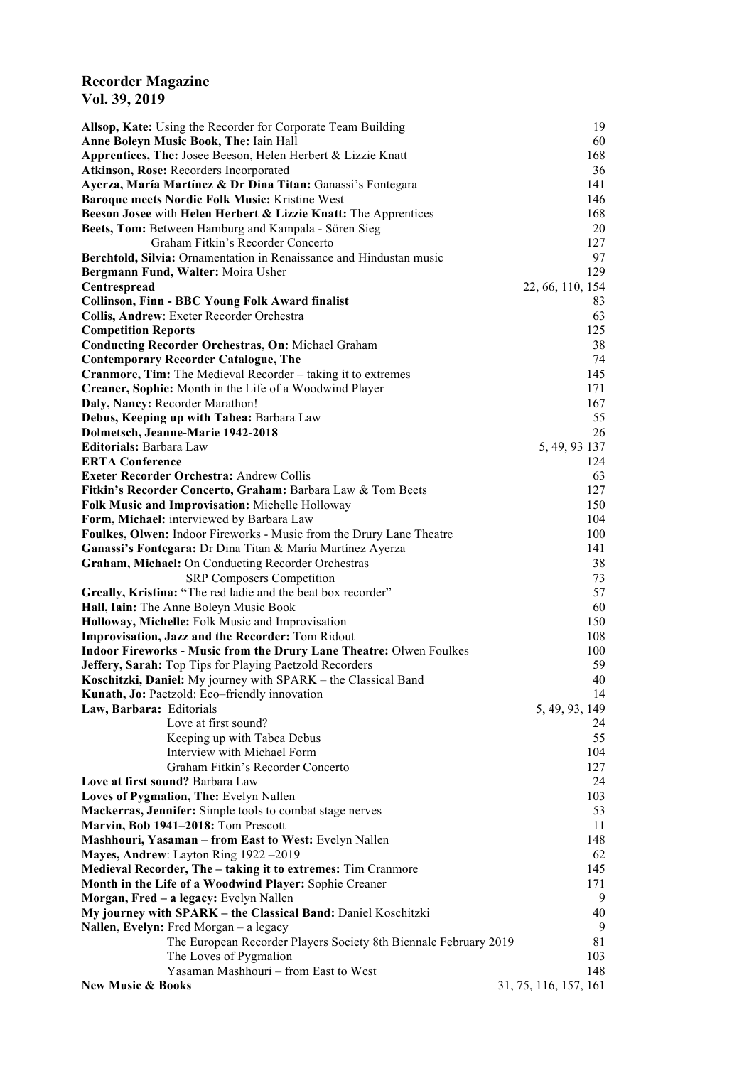## **Recorder Magazine Vol. 39, 2019**

| Allsop, Kate: Using the Recorder for Corporate Team Building                                                              | 19                    |
|---------------------------------------------------------------------------------------------------------------------------|-----------------------|
| Anne Boleyn Music Book, The: Iain Hall                                                                                    | 60                    |
| Apprentices, The: Josee Beeson, Helen Herbert & Lizzie Knatt                                                              | 168                   |
| Atkinson, Rose: Recorders Incorporated                                                                                    | 36                    |
| Ayerza, María Martínez & Dr Dina Titan: Ganassi's Fontegara                                                               | 141<br>146            |
| Baroque meets Nordic Folk Music: Kristine West<br>Beeson Josee with Helen Herbert & Lizzie Knatt: The Apprentices         | 168                   |
| Beets, Tom: Between Hamburg and Kampala - Sören Sieg                                                                      | 20                    |
| Graham Fitkin's Recorder Concerto                                                                                         | 127                   |
| Berchtold, Silvia: Ornamentation in Renaissance and Hindustan music                                                       | 97                    |
| Bergmann Fund, Walter: Moira Usher                                                                                        | 129                   |
| Centrespread                                                                                                              | 22, 66, 110, 154      |
| <b>Collinson, Finn - BBC Young Folk Award finalist</b>                                                                    | 83                    |
| Collis, Andrew: Exeter Recorder Orchestra                                                                                 | 63                    |
| <b>Competition Reports</b>                                                                                                | 125                   |
| <b>Conducting Recorder Orchestras, On: Michael Graham</b>                                                                 | 38                    |
| <b>Contemporary Recorder Catalogue, The</b>                                                                               | 74                    |
| <b>Cranmore, Tim:</b> The Medieval Recorder – taking it to extremes                                                       | 145                   |
| Creaner, Sophie: Month in the Life of a Woodwind Player                                                                   | 171                   |
| Daly, Nancy: Recorder Marathon!                                                                                           | 167                   |
| Debus, Keeping up with Tabea: Barbara Law                                                                                 | 55                    |
| Dolmetsch, Jeanne-Marie 1942-2018                                                                                         | 26                    |
| Editorials: Barbara Law                                                                                                   | 5, 49, 93 137         |
| <b>ERTA Conference</b>                                                                                                    | 124                   |
| <b>Exeter Recorder Orchestra: Andrew Collis</b>                                                                           | 63                    |
| Fitkin's Recorder Concerto, Graham: Barbara Law & Tom Beets                                                               | 127                   |
| Folk Music and Improvisation: Michelle Holloway                                                                           | 150                   |
| Form, Michael: interviewed by Barbara Law                                                                                 | 104                   |
| Foulkes, Olwen: Indoor Fireworks - Music from the Drury Lane Theatre                                                      | 100                   |
| Ganassi's Fontegara: Dr Dina Titan & María Martínez Ayerza                                                                | 141                   |
| Graham, Michael: On Conducting Recorder Orchestras                                                                        | 38                    |
| <b>SRP Composers Competition</b>                                                                                          | 73                    |
| Greally, Kristina: "The red ladie and the beat box recorder"                                                              | 57                    |
| Hall, Iain: The Anne Boleyn Music Book                                                                                    | 60                    |
| Holloway, Michelle: Folk Music and Improvisation                                                                          | 150                   |
| Improvisation, Jazz and the Recorder: Tom Ridout                                                                          | 108                   |
| Indoor Fireworks - Music from the Drury Lane Theatre: Olwen Foulkes                                                       | 100<br>59             |
| Jeffery, Sarah: Top Tips for Playing Paetzold Recorders<br>Koschitzki, Daniel: My journey with SPARK - the Classical Band | 40                    |
| Kunath, Jo: Paetzold: Eco-friendly innovation                                                                             | 14                    |
| Law, Barbara: Editorials                                                                                                  | 5, 49, 93, 149        |
| Love at first sound?                                                                                                      | 24                    |
| Keeping up with Tabea Debus                                                                                               | 55                    |
| Interview with Michael Form                                                                                               | 104                   |
| Graham Fitkin's Recorder Concerto                                                                                         | 127                   |
| Love at first sound? Barbara Law                                                                                          | 24                    |
| Loves of Pygmalion, The: Evelyn Nallen                                                                                    | 103                   |
| Mackerras, Jennifer: Simple tools to combat stage nerves                                                                  | 53                    |
| Marvin, Bob 1941-2018: Tom Prescott                                                                                       | 11                    |
| Mashhouri, Yasaman - from East to West: Evelyn Nallen                                                                     | 148                   |
| Mayes, Andrew: Layton Ring 1922-2019                                                                                      | 62                    |
| Medieval Recorder, The - taking it to extremes: Tim Cranmore                                                              | 145                   |
| Month in the Life of a Woodwind Player: Sophie Creaner                                                                    | 171                   |
| Morgan, Fred - a legacy: Evelyn Nallen                                                                                    | 9                     |
| My journey with SPARK - the Classical Band: Daniel Koschitzki                                                             | 40                    |
| Nallen, Evelyn: Fred Morgan - a legacy                                                                                    | 9                     |
| The European Recorder Players Society 8th Biennale February 2019                                                          | 81                    |
| The Loves of Pygmalion                                                                                                    | 103                   |
| Yasaman Mashhouri - from East to West                                                                                     | 148                   |
| <b>New Music &amp; Books</b>                                                                                              | 31, 75, 116, 157, 161 |